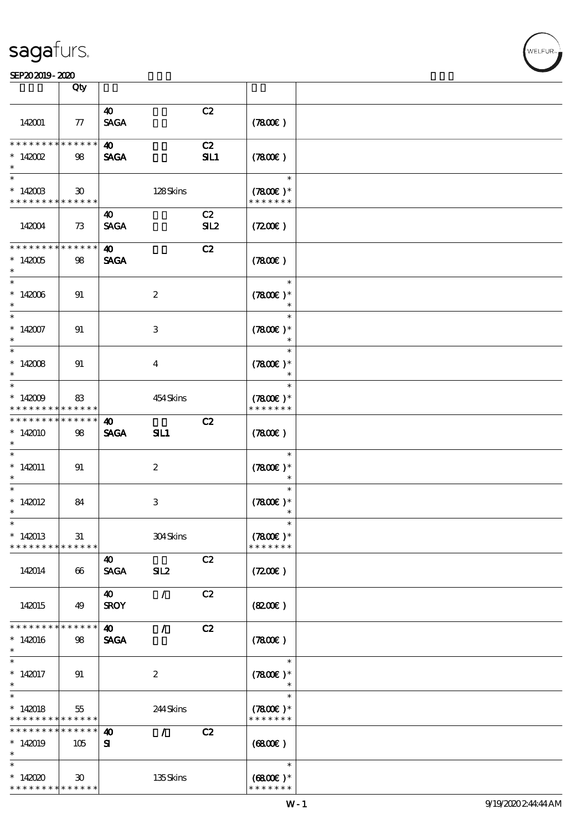|                                                      | Qty                         |                                      |                           |           |                                       |  |
|------------------------------------------------------|-----------------------------|--------------------------------------|---------------------------|-----------|---------------------------------------|--|
| 142001                                               | ${\bf \pi}$                 | $\boldsymbol{\omega}$<br><b>SAGA</b> |                           | C2        | (7800)                                |  |
| * * * * * * * *<br>$*142002$<br>$\ast$               | * * * * * *<br>98           | $\boldsymbol{\omega}$<br><b>SAGA</b> |                           | C2<br>SL1 | (7800)                                |  |
| $\ast$<br>$^*$ 142003<br>* * * * * * * * * * * * * * | $\boldsymbol{\mathfrak{D}}$ |                                      | 128Skins                  |           | $\ast$<br>$(7800)$ *<br>* * * * * * * |  |
| 142004                                               | 73                          | 40<br><b>SAGA</b>                    |                           | C2<br>SL2 | (7200)                                |  |
| ***************<br>$*142005$<br>$\ast$               | 98                          | $\boldsymbol{\omega}$<br><b>SAGA</b> |                           | C2        | (7800)                                |  |
| $\ast$<br>$^\ast$ 142006<br>$\ast$                   | 91                          |                                      | $\boldsymbol{z}$          |           | $\ast$<br>$(7800)$ *<br>$\ast$        |  |
| $\ast$<br>$*142007$<br>$\ast$                        | 91                          |                                      | $\ensuremath{\mathbf{3}}$ |           | $\ast$<br>$(7800)$ *<br>$\ast$        |  |
| $\ast$<br>$*142008$<br>$\ast$                        | 91                          |                                      | $\bf{4}$                  |           | $\ast$<br>$(7800)$ *<br>$\ast$        |  |
| $\ast$<br>$*142009$<br>* * * * * * * *               | 83<br>* * * * * *           |                                      | 454 Skins                 |           | $\ast$<br>$(7800)$ *<br>* * * * * * * |  |
| * * * * * * * *<br>$*142010$<br>$\ast$               | * * * * * *<br>98           | $\boldsymbol{\omega}$<br><b>SAGA</b> | SL1                       | C2        | (7800)                                |  |
| $\overline{\phantom{0}}$<br>$*142011$<br>$\ast$      | 91                          |                                      | $\boldsymbol{z}$          |           | $\ast$<br>$(7800)$ *<br>$\ast$        |  |
| $\ast$<br>$*142012$<br>$\ast$                        | 84                          |                                      | $\,3$                     |           | $\ast$<br>$(7800)$ *<br>$\ast$        |  |
| $\ast$<br>$*142013$<br>* * * * * * * *               | 31<br>* * * * * *           |                                      | 304Skins                  |           | $\ast$<br>$(7800)$ *<br>* * * * * * * |  |
| 142014                                               | 66                          | 40<br><b>SAGA</b>                    | SL2                       | C2        | (7200)                                |  |
| 142015                                               | 49                          | $\boldsymbol{\omega}$<br><b>SROY</b> | $\mathcal{L}$             | C2        | (820)                                 |  |
| * * * * * * * *<br>$*142016$<br>$\ast$               | * * * * * *<br>98           | $\boldsymbol{\omega}$<br><b>SAGA</b> | Z.                        | C2        | (7800)                                |  |
| $\ast$<br>$*142017$<br>$\ast$                        | 91                          |                                      | $\boldsymbol{2}$          |           | $\ast$<br>$(7800)$ *<br>$\ast$        |  |
| $\overline{\ast}$<br>$*142018$<br>* * * * * * * *    | 55<br>******                |                                      | 244Skins                  |           | $\ast$<br>$(7800)$ *<br>* * * * * * * |  |
| * * * * * * * *<br>$*142019$<br>$\ast$               | * * * * * *<br>105          | $\boldsymbol{\omega}$<br>${\bf s}$   | $\mathcal{L}$             | C2        | (6800)                                |  |
| $\ast$<br>$*142020$<br>* * * * * * * * * * * * * *   | $30^{\circ}$                |                                      | 135Skins                  |           | $\ast$<br>$(6800)$ *<br>* * * * * * * |  |

 $\mathbf{r}$ 

**VELFUR**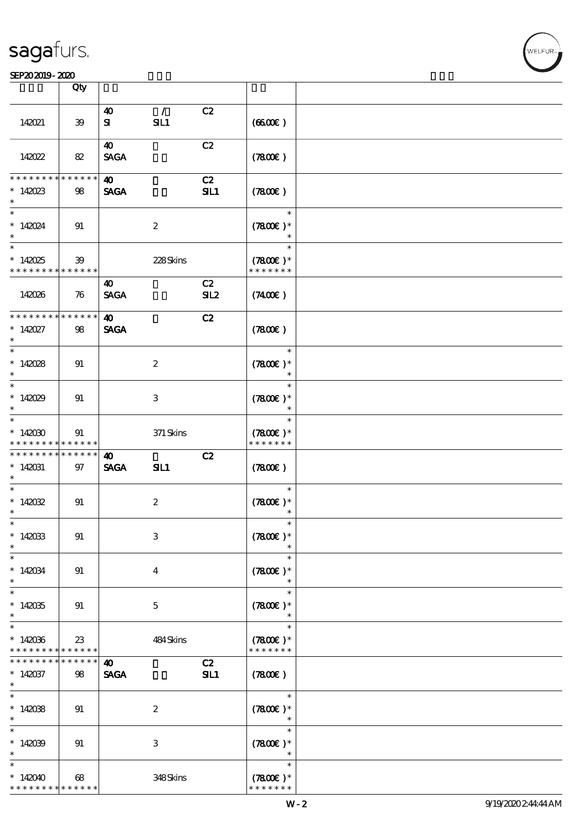#### SEP202019-2020

|                                                                            | Qty                       |                                      |                         |           |                                       |  |
|----------------------------------------------------------------------------|---------------------------|--------------------------------------|-------------------------|-----------|---------------------------------------|--|
|                                                                            |                           |                                      |                         |           |                                       |  |
| 142021                                                                     | 39                        | $\boldsymbol{\omega}$<br>${\bf s}$   | $\mathcal{L}$<br>SL1    | C2        | (660)                                 |  |
| 142022                                                                     | 82                        | $\boldsymbol{\omega}$<br><b>SAGA</b> |                         | C2        | (7800)                                |  |
| * * * * * * * *                                                            | * * * * * *               | $\boldsymbol{\omega}$                |                         | C2        |                                       |  |
| $*142023$<br>$\ast$                                                        | 98                        | <b>SAGA</b>                          |                         | SL1       | (7800)                                |  |
| $\ast$<br>$*142024$                                                        | 91                        |                                      | $\boldsymbol{2}$        |           | $\ast$<br>$(7800)$ *<br>$\ast$        |  |
| $\overline{\ast}$<br>$*142025$<br>* * * * * * * * <mark>* * * * * *</mark> | 39                        |                                      | 228Skins                |           | $\ast$<br>$(7800)$ *<br>* * * * * * * |  |
| 142026                                                                     | 76                        | 40<br><b>SAGA</b>                    |                         | C2<br>SL2 | $(7400\varepsilon)$                   |  |
| * * * * * * * *                                                            | * * * * * *               | $\boldsymbol{\omega}$                |                         | C2        |                                       |  |
| $* 142027$<br>$\ast$                                                       | 98                        | <b>SAGA</b>                          |                         |           | (7800)                                |  |
| $\ast$                                                                     |                           |                                      |                         |           | $\ast$                                |  |
| $*142028$<br>$\ast$<br>$\overline{\phantom{0}}$                            | 91                        |                                      | $\boldsymbol{2}$        |           | $(7800)$ *<br>$\ast$                  |  |
| $*142029$<br>$\ast$                                                        | 91                        |                                      | 3                       |           | $\ast$<br>$(7800)$ *<br>$\ast$        |  |
| $\overline{\ast}$                                                          |                           |                                      |                         |           | $\ast$                                |  |
| $*142000$<br>* * * * * * * *                                               | 91<br>$* * * * * * *$     |                                      | $371$ Skins             |           | $(7800)$ *<br>* * * * * * *           |  |
| __<br>* * * * * * * *                                                      | * * * * * *               | $\boldsymbol{\omega}$                |                         | C2        |                                       |  |
| $*142031$<br>$\ast$<br>$\overline{\phantom{0}}$                            | 97                        | <b>SAGA</b>                          | SL1                     |           | (7800)                                |  |
| $*142032$<br>$\ast$                                                        | 91                        |                                      | $\boldsymbol{2}$        |           | $\ast$<br>$(7800)$ *                  |  |
| $\ast$<br>$*142033$<br>$\ast$                                              | 91                        |                                      | 3                       |           | $(7800)$ *                            |  |
| $\ast$<br>$*142034$                                                        | 91                        |                                      | $\overline{\mathbf{4}}$ |           | $\ast$<br>$(7800)$ *                  |  |
| $\ast$<br>$\ast$                                                           |                           |                                      |                         |           | $\ast$                                |  |
| $*142035$<br>$\ast$                                                        | 91                        |                                      | $\mathbf{5}$            |           | $\ast$<br>$(7800)$ *<br>$\ast$        |  |
| $\ast$                                                                     |                           |                                      |                         |           | $\ast$                                |  |
| $*142036$<br>* * * * * * * *                                               | $23\,$<br>$* * * * * * *$ |                                      | 484Skins                |           | $(7800)$ *<br>* * * * * * *           |  |
| * * * * * * * *                                                            | * * * * * *               | $\boldsymbol{\omega}$                |                         | C2        |                                       |  |
| $*142037$<br>$\ast$                                                        | 98                        | <b>SAGA</b>                          |                         | SL1       | (7800)                                |  |
| $\ast$<br>$*142038$<br>$\ast$                                              | 91                        |                                      | $\boldsymbol{2}$        |           | $\ast$<br>$(7800)$ *<br>$\ast$        |  |
| $\overline{\ast}$<br>$*142039$<br>$\ast$                                   | 91                        |                                      | 3                       |           | $\ast$<br>$(7800)$ *<br>$\ast$        |  |
| $\ast$                                                                     |                           |                                      |                         |           | $\ast$                                |  |
| $*142040$<br>* * * * * * * *                                               | 68<br>* * * * * *         |                                      | 348Skins                |           | $(7800)$ *<br>* * * * * * *           |  |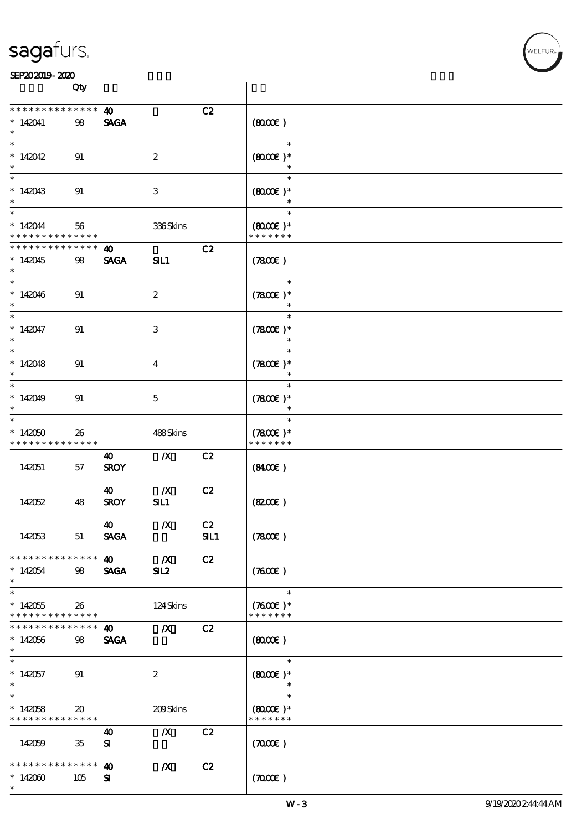|                              | Qty                                        |                       |                  |     |                                |  |
|------------------------------|--------------------------------------------|-----------------------|------------------|-----|--------------------------------|--|
| * * * * * * * *              | * * * * * *                                | 40                    |                  | C2  |                                |  |
| $*142041$                    | 98                                         | <b>SAGA</b>           |                  |     | (800)                          |  |
| $\ast$                       |                                            |                       |                  |     | $\ast$                         |  |
| $*142042$<br>$\ast$          | 91                                         |                       | $\boldsymbol{2}$ |     | $(8000)$ *<br>$\ast$           |  |
|                              |                                            |                       |                  |     | $\ast$                         |  |
| $*142043$<br>$\ast$          | 91                                         |                       | 3                |     | $(8000)$ *<br>$\ast$           |  |
|                              |                                            |                       |                  |     | $\ast$                         |  |
| $*142044$<br>* * * * * * * * | 56<br>* * * * * *                          |                       | 336Skins         |     | $(8000)$ *<br>* * * * * * *    |  |
| * * * * * * * *              | * * * * * *                                | $\boldsymbol{\omega}$ |                  | C2  |                                |  |
| $*142045$<br>$*$             | 98                                         | <b>SAGA</b>           | SIL1             |     | (7800)                         |  |
|                              |                                            |                       |                  |     | $\ast$                         |  |
| $*142046$<br>$\ast$          | 91                                         |                       | $\boldsymbol{2}$ |     | $(7800)$ *<br>$\ast$           |  |
|                              |                                            |                       |                  |     | $\ast$                         |  |
| $*142047$<br>$\ast$          | 91                                         |                       | 3                |     | $(7800)$ *<br>$\ast$           |  |
|                              |                                            |                       |                  |     | $\ast$                         |  |
| $*142048$<br>$\ast$          | 91                                         |                       | $\bf{4}$         |     | $(7800)$ *<br>$\ast$           |  |
|                              |                                            |                       |                  |     | $\ast$                         |  |
| $*142049$<br>$\ast$          | 91                                         |                       | $\mathbf{5}$     |     | $(7800)$ *<br>$\ast$           |  |
| $\ast$                       |                                            |                       |                  |     | $\ast$                         |  |
| $*142050$<br>* * * * * * * * | 26<br>* * * * * *                          |                       | 488Skins         |     | $(7800)$ *<br>* * * * * * *    |  |
|                              |                                            | 40                    | $\boldsymbol{X}$ | C2  |                                |  |
| 142051                       | 57                                         | <b>SROY</b>           |                  |     | (840)                          |  |
|                              |                                            | $\boldsymbol{\omega}$ | $\boldsymbol{X}$ | C2  |                                |  |
| 142052                       | 48                                         | <b>SROY</b>           | SL1              |     | (820)                          |  |
|                              |                                            | $\boldsymbol{\omega}$ | $\mathbf{X}$     | C2  |                                |  |
| 142053                       | 51                                         | <b>SAGA</b>           |                  | SL1 | (7800)                         |  |
| * * * * * * * * * * * * * *  |                                            | 40                    | $\mathbb{Z}$     | C2  |                                |  |
| $*142054$<br>$\ast$          | 98                                         | <b>SAGA</b>           | SL <sub>2</sub>  |     | (7600)                         |  |
|                              |                                            |                       |                  |     | $\ast$                         |  |
| $*142055$<br>* * * * * * * * | 26<br>* * * * * *                          |                       | 124Skins         |     | $(7600)$ *<br>* * * * * * *    |  |
| * * * * * * * *              | * * * * * *                                | 40                    | $\mathbf{X}$     | C2  |                                |  |
| $*142056$                    | 98                                         | <b>SAGA</b>           |                  |     | (800)                          |  |
| $*$                          |                                            |                       |                  |     |                                |  |
| $\ast$                       |                                            |                       |                  |     | $\ast$                         |  |
| $*142057$<br>$*$             | 91                                         |                       | $\boldsymbol{z}$ |     | $(8000\varepsilon)*$<br>$\ast$ |  |
| $\overline{\ast}$            |                                            |                       |                  |     | $\ast$                         |  |
| $*142058$<br>* * * * * * * * | $\boldsymbol{\mathfrak{D}}$<br>* * * * * * |                       | 209Skins         |     | $(8000)$ *<br>* * * * * * *    |  |
|                              |                                            | 40                    | $\boldsymbol{X}$ | C2  |                                |  |
| 142059                       | 35                                         | ${\bf s}$             |                  |     | (7000)                         |  |
| * * * * * * * *              | * * * * * *                                | $\boldsymbol{\omega}$ | $\boldsymbol{X}$ | C2  |                                |  |
| $*142000$<br>$\ast$          | 105                                        | Я                     |                  |     | (7000)                         |  |

 $\top$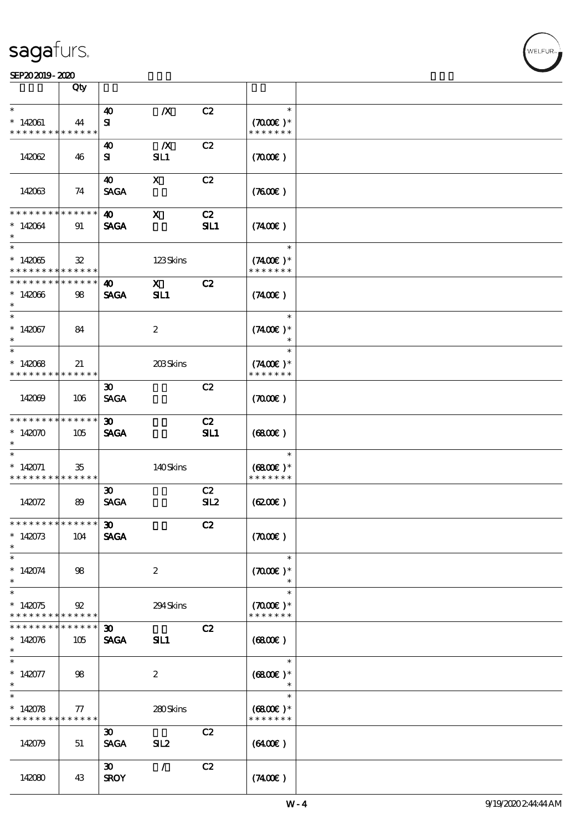#### SEP202019-2020

|                                          | Qty               |                                    |                  |     |                                |  |
|------------------------------------------|-------------------|------------------------------------|------------------|-----|--------------------------------|--|
| $\ast$                                   |                   |                                    |                  | C2  | $\ast$                         |  |
| $*142061$                                | 44                | $\boldsymbol{\omega}$<br>${\bf s}$ | $\boldsymbol{X}$ |     | $(7000\varepsilon)*$           |  |
| * * * * * * * *                          | * * * * * *       |                                    |                  |     | * * * * * * *                  |  |
|                                          |                   | 40                                 | $\boldsymbol{X}$ | C2  |                                |  |
| 142062                                   | 46                | ${\bf s}$                          | SL1              |     | (700)                          |  |
|                                          |                   |                                    |                  |     |                                |  |
|                                          |                   | 40                                 | $\mathbf{x}$     | C2  |                                |  |
| 142063                                   | 74                | <b>SAGA</b>                        |                  |     | (7600)                         |  |
|                                          |                   |                                    |                  |     |                                |  |
| * * * * * * * *                          | * * * * * *       | 40                                 | $\mathbf X$      | C2  |                                |  |
| $*142064$                                | 91                | <b>SAGA</b>                        |                  | SL1 | (7400)                         |  |
| $\ast$                                   |                   |                                    |                  |     | $\ast$                         |  |
| $*142065$                                | $\mathfrak{B}$    |                                    | 123Skins         |     | $(7400)$ *                     |  |
| * * * * * * * *                          | ******            |                                    |                  |     | * * * * * * *                  |  |
| * * * * * * *                            | * * * * * *       | 40                                 | $\mathbf{x}$     | C2  |                                |  |
| $*142066$                                | 98                | <b>SAGA</b>                        | SL1              |     | $(7400\varepsilon)$            |  |
| $\ast$                                   |                   |                                    |                  |     |                                |  |
| $\ast$                                   |                   |                                    |                  |     | $\ast$                         |  |
| $*142067$                                | 84                |                                    | $\boldsymbol{2}$ |     | $(7400)$ *                     |  |
| $\ast$<br>$\ast$                         |                   |                                    |                  |     | $\ast$                         |  |
|                                          |                   |                                    |                  |     |                                |  |
| $*142068$<br>* * * * * * * *             | 21<br>* * * * * * |                                    | 203Skins         |     | $(7400)$ *<br>* * * * * * *    |  |
|                                          |                   | $\boldsymbol{\mathfrak{D}}$        |                  | C2  |                                |  |
| 142069                                   | 106               | <b>SAGA</b>                        |                  |     | (700)                          |  |
|                                          |                   |                                    |                  |     |                                |  |
| * * * * * * * *                          | * * * * * *       | $\boldsymbol{\mathfrak{D}}$        |                  | C2  |                                |  |
| $*142070$                                | 105               | <b>SAGA</b>                        |                  | SL1 | (6800)                         |  |
| $\ast$                                   |                   |                                    |                  |     |                                |  |
| $\ast$                                   |                   |                                    |                  |     | $\ast$                         |  |
| $*142071$<br>* * * * * * * *             | 35<br>******      |                                    | 140Skins         |     | $(6800)$ *<br>* * * * * * *    |  |
|                                          |                   | $\boldsymbol{\mathfrak{D}}$        |                  | C2  |                                |  |
| 142072                                   | 89                | <b>SAGA</b>                        |                  | SL2 | (6200)                         |  |
|                                          |                   |                                    |                  |     |                                |  |
| *************** 30                       |                   |                                    |                  | C2  |                                |  |
| $*142073$                                | 104               | <b>SAGA</b>                        |                  |     | (7000)                         |  |
| $\ast$                                   |                   |                                    |                  |     |                                |  |
| $\ast$                                   |                   |                                    |                  |     | $\ast$                         |  |
| $* 142074$                               | 98                |                                    | $\boldsymbol{2}$ |     | $(7000\varepsilon)*$<br>$\ast$ |  |
| $\ast$<br>$\ast$                         |                   |                                    |                  |     | $\ast$                         |  |
| $*142075$                                | 92                |                                    | 294Skins         |     | $(7000\varepsilon)*$           |  |
| * * * * * * * *                          | ******            |                                    |                  |     | * * * * * * *                  |  |
| * * * * * * * *                          | * * * * * *       | $\boldsymbol{\mathfrak{D}}$        |                  | C2  |                                |  |
| $*142076$                                | 105               | <b>SAGA</b>                        | SL1              |     | (6800)                         |  |
| $\ast$                                   |                   |                                    |                  |     |                                |  |
| $\ast$                                   |                   |                                    |                  |     | $\ast$                         |  |
| $*142077$                                | 98                |                                    | $\boldsymbol{2}$ |     | $(6800)$ *                     |  |
| $\ast$<br>$\ast$                         |                   |                                    |                  |     | $\ast$                         |  |
| $*142078$                                | 77                |                                    | 280Skins         |     | $(6800)$ *                     |  |
| * * * * * * * * <mark>* * * * * *</mark> |                   |                                    |                  |     | * * * * * * *                  |  |
|                                          |                   | $\boldsymbol{\mathfrak{D}}$        |                  | C2  |                                |  |
| 142079                                   | 51                | <b>SAGA</b>                        | SL <sub>2</sub>  |     | (6400)                         |  |
|                                          |                   |                                    |                  |     |                                |  |
|                                          |                   | $\boldsymbol{\mathfrak{D}}$        | $\mathcal{L}$    | C2  |                                |  |
| 142080                                   | 43                | <b>SROY</b>                        |                  |     | (7400)                         |  |
|                                          |                   |                                    |                  |     |                                |  |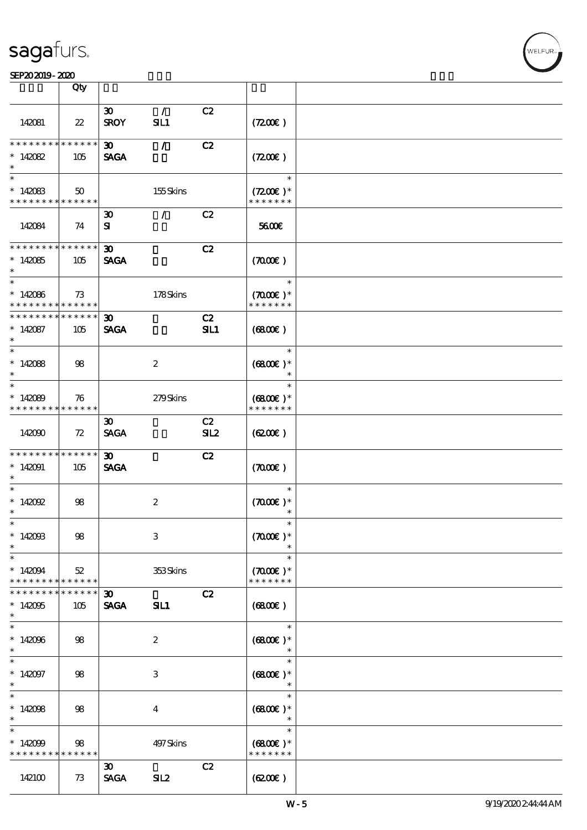#### SEP202019-2020 COMPUTER SEPERATORS AND LOCAL CONTROL CONTROL CONTROL CONTROL CONTROL CONTROL CONTROL CONTROL CO

|                                                                 | Qty                    |                                            |                      |           |                                               |  |
|-----------------------------------------------------------------|------------------------|--------------------------------------------|----------------------|-----------|-----------------------------------------------|--|
| 142081                                                          | $22\,$                 | 30 <sub>o</sub><br><b>SROY</b>             | $\mathcal{L}$<br>SL1 | C2        | (7200)                                        |  |
| * * * * * * * *<br>$*142082$<br>$\ast$                          | ******<br>105          | 30 <sub>o</sub><br><b>SAGA</b>             | $\mathcal{L}$        | C2        | (7200)                                        |  |
| $\ast$<br>$*142083$<br>* * * * * * * * * * * * * * *            | 50                     |                                            | 155Skins             |           | $\ast$<br>$(7200)$ *<br>* * * * * * *         |  |
| 142084                                                          | 74                     | $\boldsymbol{\mathfrak{D}}$<br>${\bf s}$   | $\mathcal{L}$        | C2        | 5600E                                         |  |
| * * * * * * * * * * * * * *<br>$*142085$<br>$\ast$              | 105                    | $\boldsymbol{\mathfrak{D}}$<br><b>SAGA</b> |                      | C2        | (7000)                                        |  |
| $\ast$<br>$*142086$<br>* * * * * * * * * * * * * * *            | 73                     |                                            | 178Skins             |           | $\ast$<br>$(7000\text{E})$ *<br>* * * * * * * |  |
| * * * * * * * *<br>$*142087$<br>$\ast$                          | $* * * * * * *$<br>105 | $\boldsymbol{\mathfrak{D}}$<br><b>SAGA</b> |                      | C2<br>SL1 | (6800)                                        |  |
| $\overline{\ast}$<br>$*142088$<br>$\ast$                        | 98                     |                                            | $\boldsymbol{z}$     |           | $\ast$<br>$(6800E)*$<br>$\ast$                |  |
| $\ast$<br>$*142089$<br>* * * * * * * * <mark>* * * * * *</mark> | 76                     |                                            | 279Skins             |           | $\ast$<br>$(6800)$ *<br>* * * * * * *         |  |
| 142090                                                          | 72                     | $\boldsymbol{\mathfrak{D}}$<br><b>SAGA</b> |                      | C2<br>SL2 | (6200)                                        |  |
| * * * * * * * *<br>$*142091$<br>$\ast$                          | ******<br>105          | $\boldsymbol{\mathfrak{D}}$<br><b>SAGA</b> |                      | C2        | (7000)                                        |  |
| $\ast$<br>$* 142092$<br>$\ast$                                  | 98                     |                                            | $\boldsymbol{2}$     |           | $\ast$<br>$(7000\varepsilon)*$<br>$\ast$      |  |
| $*$<br>$*14200B$<br>$\ast$                                      | $98$                   |                                            | $\,3$                |           | $\ast$<br>$(7000\text{E})$ *                  |  |
| $\ast$<br>$*142094$<br>* * * * * * * *                          | 52<br>* * * * * *      |                                            | 353Skins             |           | $\ast$<br>$(7000\text{E})$ *<br>* * * * * * * |  |
| * * * * * * *<br>$*142095$<br>$\ast$                            | * * * * * *  <br>105   | $\boldsymbol{\mathfrak{D}}$<br><b>SAGA</b> | SL1                  | C2        | (6800)                                        |  |
| $\ast$<br>$*142096$<br>$\ast$                                   | 98                     |                                            | $\boldsymbol{2}$     |           | $\ast$<br>$(6800)$ *                          |  |
| $\ast$<br>$*142097$<br>$\ast$                                   | 98                     |                                            | $\,3\,$              |           | $\ast$<br>$(6800)$ *<br>$\ast$                |  |
| $\overline{\ast}$<br>$*142098$<br>$\ast$                        | 98                     |                                            | $\boldsymbol{4}$     |           | $\ast$<br>$(6800)$ *<br>$\ast$                |  |
| $\ast$<br>$*142099$<br>* * * * * * * *                          | 98<br>* * * * * *      |                                            | 497 Skins            |           | $\ast$<br>$(6800)$ *<br>* * * * * * *         |  |
| 142100                                                          | 73                     | $\boldsymbol{\mathfrak{D}}$<br><b>SAGA</b> | SL2                  | C2        | (6200)                                        |  |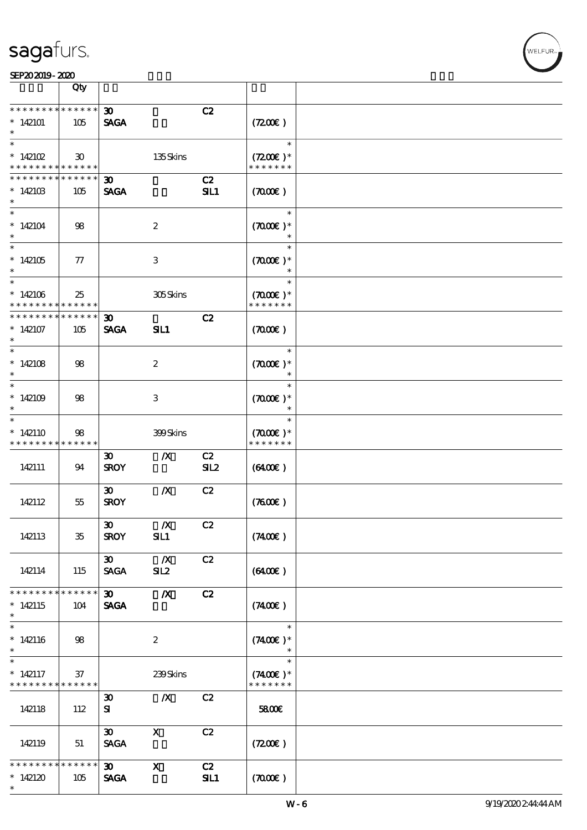|                                          | Qty                         |                             |                  |     |                                                 |  |
|------------------------------------------|-----------------------------|-----------------------------|------------------|-----|-------------------------------------------------|--|
| * * * * * * *                            | * * * * * *                 | 30 <sub>o</sub>             |                  | C2  |                                                 |  |
| $*142101$<br>$\ast$                      | 105                         | <b>SAGA</b>                 |                  |     | (7200)                                          |  |
| $\ast$                                   |                             |                             |                  |     | $\ast$                                          |  |
| * $142102$                               | $\boldsymbol{\mathfrak{D}}$ |                             | 135Skins         |     | $(7200)$ *                                      |  |
| * * * * * * * * <mark>* * * * * *</mark> |                             |                             |                  |     | * * * * * * *                                   |  |
| * * * * * * * *                          | ******                      | $\boldsymbol{\mathfrak{D}}$ |                  | C2  |                                                 |  |
| $*142103$                                | 105                         | <b>SAGA</b>                 |                  | SL1 | (700)                                           |  |
|                                          |                             |                             |                  |     |                                                 |  |
| $\ast$<br>$*142104$                      | 98                          |                             | $\boldsymbol{2}$ |     | $\ast$<br>$(7000\varepsilon)*$<br>$\ast$        |  |
|                                          |                             |                             |                  |     | $\ast$                                          |  |
|                                          |                             |                             |                  |     |                                                 |  |
| $*142105$                                | 77                          |                             | 3                |     | $(7000\varepsilon)*$                            |  |
| $\overline{\phantom{0}}$                 |                             |                             |                  |     |                                                 |  |
| $*142106$<br>* * * * * * * *             | 25<br>******                |                             | 305Skins         |     | $\ast$<br>$(7000\varepsilon)*$<br>* * * * * * * |  |
| * * * * * * * *                          | $* * * * * * *$             | 30 <sub>o</sub>             |                  | C2  |                                                 |  |
| $*142107$<br>$\ast$                      | 105                         | <b>SAGA</b>                 | SL1              |     | (700)                                           |  |
| $\overline{\phantom{0}}$                 |                             |                             |                  |     | $\ast$                                          |  |
| $*142108$                                |                             |                             |                  |     |                                                 |  |
| $\ast$                                   | 98                          |                             | $\boldsymbol{2}$ |     | $(7000\varepsilon)*$<br>$\ast$                  |  |
| $\ast$                                   |                             |                             |                  |     | $\ast$                                          |  |
|                                          |                             |                             |                  |     |                                                 |  |
| $*142109$                                | 98                          |                             | 3                |     | $(7000\varepsilon)*$                            |  |
| $\ast$                                   |                             |                             |                  |     | $\ast$                                          |  |
| $\ast$                                   |                             |                             |                  |     | $\ast$                                          |  |
| $*142110$                                | 98                          |                             | 399Skins         |     | $(7000\varepsilon)*$                            |  |
| * * * * * * * *                          | * * * * * *                 |                             |                  |     | * * * * * * *                                   |  |
|                                          |                             | $\boldsymbol{\mathfrak{D}}$ | $\boldsymbol{X}$ | C2  |                                                 |  |
| 142111                                   | 94                          | <b>SROY</b>                 |                  | SL2 | $(6400\varepsilon)$                             |  |
|                                          |                             |                             |                  |     |                                                 |  |
|                                          |                             | $\boldsymbol{\mathfrak{D}}$ | $\boldsymbol{X}$ | C2  |                                                 |  |
| 142112                                   | 55                          | <b>SROY</b>                 |                  |     | (7600)                                          |  |
|                                          |                             |                             |                  |     |                                                 |  |
|                                          |                             | $\boldsymbol{\mathfrak{D}}$ | $\mathbf{X}$     | C2  |                                                 |  |
| 142113                                   | $35\,$                      | <b>SROY</b>                 | SL1              |     | (7400)                                          |  |
|                                          |                             |                             |                  |     |                                                 |  |
|                                          |                             | $\boldsymbol{\mathfrak{D}}$ | $\boldsymbol{X}$ | C2  |                                                 |  |
| 142114                                   | 115                         | <b>SAGA</b>                 | SL2              |     | $(6400\varepsilon)$                             |  |
|                                          |                             |                             |                  |     |                                                 |  |
| * * * * * * * *                          | * * * * * *                 | $\boldsymbol{\mathfrak{D}}$ | $\boldsymbol{X}$ | C2  |                                                 |  |
| $*142115$                                | 104                         | <b>SAGA</b>                 |                  |     | (7400)                                          |  |
| $\ast$                                   |                             |                             |                  |     |                                                 |  |
| $\ast$                                   |                             |                             |                  |     | $\ast$                                          |  |
|                                          |                             |                             |                  |     |                                                 |  |
| $*142116$                                | 98                          |                             | $\boldsymbol{2}$ |     | $(7400)$ *                                      |  |
| $\ast$<br>$\ast$                         |                             |                             |                  |     | $\ast$                                          |  |
|                                          |                             |                             |                  |     | $\ast$                                          |  |
| $*142117$                                | 37                          |                             | 239Skins         |     | $(7400)$ *                                      |  |
| * * * * * * * *                          | ******                      |                             |                  |     | * * * * * * *                                   |  |
|                                          |                             | $\boldsymbol{\mathfrak{D}}$ | $\boldsymbol{X}$ | C2  |                                                 |  |
| 142118                                   | 112                         | ${\bf s}$                   |                  |     | 5800€                                           |  |
|                                          |                             |                             |                  |     |                                                 |  |
|                                          |                             | $\boldsymbol{\mathfrak{B}}$ | $\mathbf{x}$     | C2  |                                                 |  |
| 142119                                   | 51                          | <b>SAGA</b>                 |                  |     | (7200)                                          |  |
|                                          |                             |                             |                  |     |                                                 |  |
| * * * * * * * *                          | $* * * * * * *$             | 30 <sub>o</sub>             | $\mathbf{x}$     | C2  |                                                 |  |
| $*142120$                                | 105                         | <b>SAGA</b>                 |                  | SL1 | (7000)                                          |  |
| $\ast$                                   |                             |                             |                  |     |                                                 |  |
|                                          |                             |                             |                  |     |                                                 |  |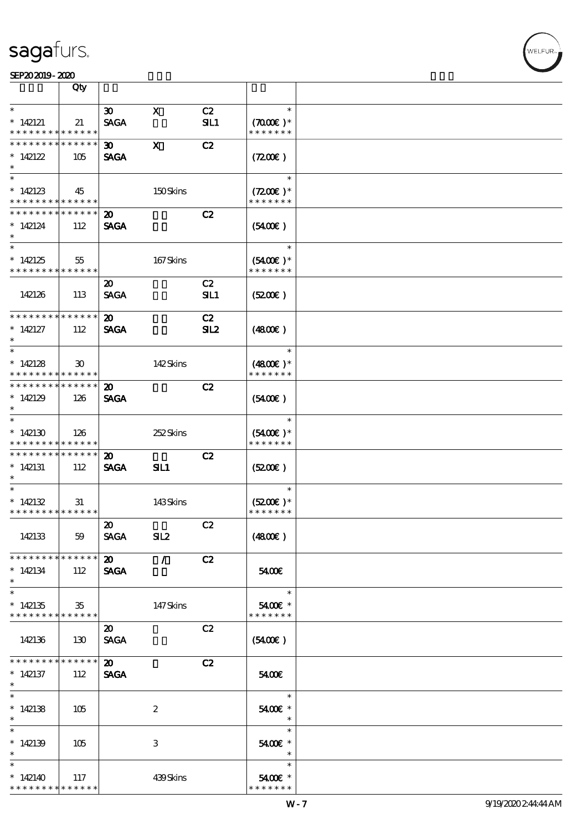#### SEP202019-2020

|                                                         | Qty                         |                             |                            |             |                                       |  |
|---------------------------------------------------------|-----------------------------|-----------------------------|----------------------------|-------------|---------------------------------------|--|
| $\ast$                                                  |                             | $\infty$                    | $\mathbf{x}$               | C2          | $\ast$                                |  |
| $*142121$<br>* * * * * * * * <mark>* * * * * * *</mark> | 21                          | <b>SAGA</b>                 |                            | <b>SIL1</b> | $(7000\varepsilon)*$<br>* * * * * * * |  |
| * * * * * * * *                                         | * * * * * *                 | $\boldsymbol{\mathfrak{D}}$ | $\mathbf{x}$               | C2          |                                       |  |
| * $142122$                                              |                             |                             |                            |             |                                       |  |
| $\ast$                                                  | 105                         | <b>SAGA</b>                 |                            |             | (720)                                 |  |
|                                                         |                             |                             |                            |             | $\ast$                                |  |
|                                                         |                             |                             |                            |             |                                       |  |
| $*142123$                                               | 45                          |                             | 150Skins                   |             | $(7200)$ *                            |  |
| * * * * * * * * <mark>* * * * * * *</mark>              |                             |                             |                            |             | * * * * * * *                         |  |
| * * * * * * * * <mark>* * * * * *</mark>                |                             | 20                          |                            | C2          |                                       |  |
| $*142124$                                               | 112                         | <b>SAGA</b>                 |                            |             | $(5400\varepsilon)$                   |  |
| $\ast$                                                  |                             |                             |                            |             |                                       |  |
|                                                         |                             |                             |                            |             | $\ast$                                |  |
| $*142125$                                               | 55                          |                             | 167Skins                   |             | $(5400)$ *                            |  |
| * * * * * * * * <mark>* * * * * *</mark>                |                             |                             |                            |             | * * * * * * *                         |  |
|                                                         |                             | $\boldsymbol{\mathfrak{D}}$ |                            | C2          |                                       |  |
| 142126                                                  | 113                         | <b>SAGA</b>                 |                            | SIL1        | (5200)                                |  |
|                                                         |                             |                             |                            |             |                                       |  |
| * * * * * * * *                                         | * * * * * *                 | 20                          |                            | C2          |                                       |  |
| $*142127$                                               | 112                         | <b>SAGA</b>                 |                            | SL2         | (480)                                 |  |
| $\ast$                                                  |                             |                             |                            |             |                                       |  |
| $\ast$                                                  |                             |                             |                            |             | $\ast$                                |  |
|                                                         |                             |                             |                            |             |                                       |  |
| * $142128$                                              | $\boldsymbol{\mathfrak{D}}$ |                             | 142Skins                   |             | $(4800)$ *                            |  |
| * * * * * * * * <mark>* * * * * *</mark>                |                             |                             |                            |             | * * * * * * *                         |  |
| * * * * * * * * <mark>* * * * * * *</mark>              |                             | $\boldsymbol{\mathfrak{D}}$ |                            | C2          |                                       |  |
| $*142129$                                               | 126                         | <b>SAGA</b>                 |                            |             | $(5400\varepsilon)$                   |  |
| $\ast$                                                  |                             |                             |                            |             |                                       |  |
| $\ast$                                                  |                             |                             |                            |             | $\ast$                                |  |
| $*142130$                                               | 126                         |                             | 252Skins                   |             | $(5400)$ *                            |  |
| * * * * * * * *                                         | * * * * * *                 |                             |                            |             | * * * * * * *                         |  |
| * * * * * * * *                                         | ******                      | $\boldsymbol{\mathsf{20}}$  |                            | C2          |                                       |  |
| $*142131$                                               | 112                         | <b>SAGA</b>                 | SIL1                       |             | (5200)                                |  |
| $*$                                                     |                             |                             |                            |             |                                       |  |
| $\ast$                                                  |                             |                             |                            |             | $\ast$                                |  |
| $*142132$                                               | 31                          |                             | 143Skins                   |             | $(5200)$ *                            |  |
| * * * * * * * * * * * * * * *                           |                             |                             |                            |             | * * * * * * *                         |  |
|                                                         |                             | $\boldsymbol{\omega}$       |                            | C2          |                                       |  |
| 142133                                                  | 59                          | <b>SAGA</b>                 | SL2                        |             | (4800)                                |  |
|                                                         |                             |                             |                            |             |                                       |  |
| * * * * * * * *                                         | ******                      |                             |                            |             |                                       |  |
|                                                         |                             | 20                          | $\mathcal{L}(\mathcal{L})$ | C2          |                                       |  |
| $*142134$                                               | 112                         | <b>SAGA</b>                 |                            |             | 5400E                                 |  |
| $\ast$<br>$\overline{\ast}$                             |                             |                             |                            |             |                                       |  |
|                                                         |                             |                             |                            |             | $\ast$                                |  |
| $*142135$                                               | $35\,$                      |                             | 147Skins                   |             | 5400€ *                               |  |
| * * * * * * * * <mark>* * * * * * *</mark>              |                             |                             |                            |             | * * * * * * *                         |  |
|                                                         |                             | 20                          |                            | C2          |                                       |  |
| 142136                                                  | 130                         | <b>SAGA</b>                 |                            |             | (5400)                                |  |
|                                                         |                             |                             |                            |             |                                       |  |
| * * * * * * * *                                         | ******                      | $\boldsymbol{\omega}$       |                            | C2          |                                       |  |
| $*142137$                                               | 112                         | <b>SAGA</b>                 |                            |             | 5400E                                 |  |
| $\ast$                                                  |                             |                             |                            |             |                                       |  |
| $\ast$                                                  |                             |                             |                            |             | $\ast$                                |  |
| $*142138$                                               | 105                         |                             | $\boldsymbol{2}$           |             | 5400€ *                               |  |
| $\ast$                                                  |                             |                             |                            |             | $*$                                   |  |
| $\ast$                                                  |                             |                             |                            |             | $\ast$                                |  |
|                                                         |                             |                             |                            |             |                                       |  |
| $*142139$                                               | 105                         |                             | 3                          |             | 5400€ *<br>$\ast$                     |  |
| $\ast$                                                  |                             |                             |                            |             |                                       |  |
|                                                         |                             |                             |                            |             | $\ast$                                |  |
| $*142140$                                               | 117                         |                             | 439Skins                   |             | 5400€ *                               |  |
| * * * * * * * * <mark>* * * * * *</mark>                |                             |                             |                            |             | * * * * * * *                         |  |

ℸ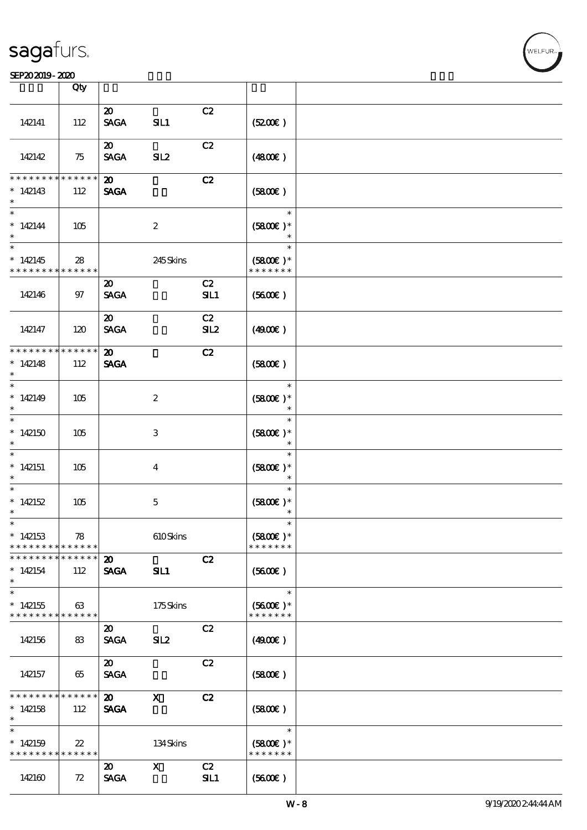#### SEP202019-2020 COMPUTER SEPERATORS AND LOCAL CONTROL CONTROL CONTROL CONTROL CONTROL CONTROL CONTROL CONTROL CO

|                                                                      | Qty                   |                                            |                           |           |                                          |  |
|----------------------------------------------------------------------|-----------------------|--------------------------------------------|---------------------------|-----------|------------------------------------------|--|
| 142141                                                               | 112                   | $\boldsymbol{\mathfrak{D}}$<br><b>SAGA</b> | SL1                       | C2        | (5200)                                   |  |
|                                                                      |                       | $\boldsymbol{\mathfrak{D}}$                |                           |           |                                          |  |
| 142142                                                               | 75                    | <b>SAGA</b>                                | SL2                       | C2        | (4800)                                   |  |
| * * * * * * *<br>$*142143$<br>$\ast$                                 | * * * * * *<br>112    | $\boldsymbol{\mathsf{20}}$<br><b>SAGA</b>  |                           | C2        | (5800)                                   |  |
| $\ast$<br>$*142144$<br>$\ast$<br>$\overline{\phantom{0}}$            | 105                   |                                            | $\boldsymbol{2}$          |           | $\ast$<br>$(5800)$ *<br>$\ast$           |  |
| $*142145$<br>* * * * * * * *                                         | 28<br>* * * * * *     |                                            | 245Skins                  |           | $\ast$<br>$(5800)$ *<br>* * * * * * *    |  |
| 142146                                                               | 97                    | $\boldsymbol{\mathfrak{D}}$<br><b>SAGA</b> |                           | C2<br>SL1 | (5600)                                   |  |
| 142147                                                               | 120                   | $\boldsymbol{\mathfrak{D}}$<br><b>SAGA</b> |                           | C2<br>SL2 | (4900)                                   |  |
| * * * * * * * *<br>$*142148$<br>$\ast$                               | * * * * * *<br>112    | $\boldsymbol{\mathfrak{D}}$<br><b>SAGA</b> |                           | C2        | (5800)                                   |  |
| $\overline{\phantom{0}}$<br>* $142149$<br>$\ast$                     | 105                   |                                            | $\boldsymbol{2}$          |           | $\ast$<br>$(5800)$ *<br>$\ast$           |  |
| $\overline{\ast}$<br>$*142150$<br>$\ast$                             | 105                   |                                            | 3                         |           | $\ast$<br>$(5800)$ *<br>$\ast$           |  |
| $\ast$<br>$*142151$<br>$\ast$<br>$\ast$                              | 105                   |                                            | $\bf{4}$                  |           | $\ast$<br>$(5800)$ *<br>$\ast$<br>$\ast$ |  |
| * $142152$<br>$\ast$<br>$*$                                          | 105                   |                                            | $\mathbf 5$               |           | $(5800)$ *<br>$\ast$<br>$\ast$           |  |
| $*142153$<br>* * * * * * * *                                         | 78<br>* * * * * *     |                                            | 610Skins                  |           | $(5800)$ *<br>* * * * * * *              |  |
| * * * * * * * *<br>$*142154$<br>$\ast$                               | * * * * * *<br>112    | $\boldsymbol{\mathsf{20}}$<br><b>SAGA</b>  | SL1                       | C2        | (5600)                                   |  |
| $\overline{\phantom{0}}$<br>$*142155$<br>* * * * * * * * * * * * * * | 63                    |                                            | 175Skins                  |           | $\ast$<br>$(5600)$ *<br>* * * * * * *    |  |
| 142156                                                               | 83                    | $\boldsymbol{\mathfrak{D}}$<br><b>SAGA</b> | SL <sub>2</sub>           | C2        | (4900)                                   |  |
| 142157                                                               | 65                    | $\boldsymbol{\mathfrak{D}}$<br><b>SAGA</b> |                           | C2        | (5800)                                   |  |
| * * * * * * * *<br>$*142158$<br>$\ast$                               | * * * * * *<br>112    | $\boldsymbol{\mathfrak{D}}$<br><b>SAGA</b> | $\boldsymbol{\mathrm{X}}$ | C2        | (5800)                                   |  |
| $\ast$<br>$*142159$<br>* * * * * * * *                               | $2\!2$<br>* * * * * * |                                            | 134Skins                  |           | $\ast$<br>$(5800)$ *<br>* * * * * * *    |  |
| 142160                                                               | 72                    | $\boldsymbol{\mathfrak{D}}$<br><b>SAGA</b> | $\mathbf{x}$              | C2<br>SL1 | (5600)                                   |  |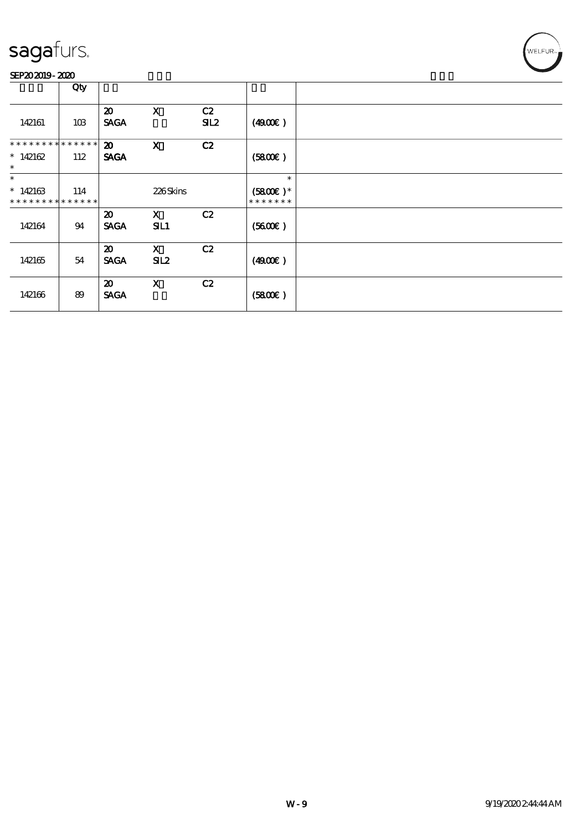#### SEP202019-2020

|                                                     | Qty |                                            |                           |           |                                       |  |
|-----------------------------------------------------|-----|--------------------------------------------|---------------------------|-----------|---------------------------------------|--|
| 142161                                              | 10B | $\boldsymbol{\mathfrak{D}}$<br><b>SAGA</b> | $\mathbf X$               | C2<br>SL2 | (4900)                                |  |
| * * * * * * * * * * * * * *<br>* $142162$<br>$\ast$ | 112 | $\boldsymbol{\mathfrak{D}}$<br><b>SAGA</b> | $\boldsymbol{\mathrm{X}}$ | C2        | (5800)                                |  |
| $\ast$<br>$*142163$<br>* * * * * * * * * * * * * *  | 114 |                                            | 226Skins                  |           | $\ast$<br>$(5800E)*$<br>* * * * * * * |  |
| 142164                                              | 94  | $\boldsymbol{\mathsf{20}}$<br><b>SACA</b>  | $\mathbf{x}$<br>SL1       | C2        | (5600)                                |  |
| 142165                                              | 54  | $\boldsymbol{\mathfrak{D}}$<br><b>SAGA</b> | $\mathbf{X}$<br>SL2       | C2        | (4900)                                |  |
| 142166                                              | 89  | $\boldsymbol{\mathfrak{D}}$<br><b>SAGA</b> | $\boldsymbol{\mathrm{X}}$ | C2        | (5800)                                |  |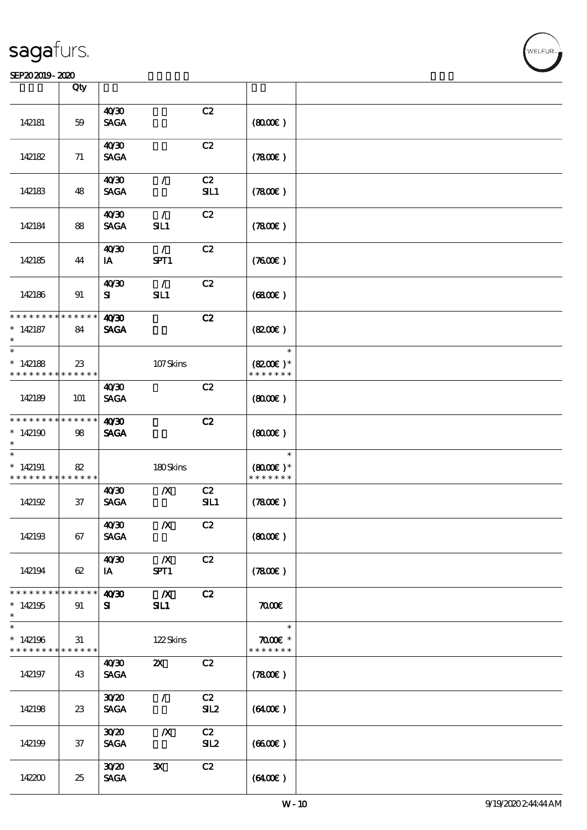#### SEP202019-2020

|                                            | Qty         |                  |                           |     |                                |  |
|--------------------------------------------|-------------|------------------|---------------------------|-----|--------------------------------|--|
|                                            |             | 40'30            |                           | C2  |                                |  |
| 142181                                     | 59          | <b>SAGA</b>      |                           |     | (800)                          |  |
|                                            |             | 40'30            |                           | C2  |                                |  |
| 142182                                     | 71          | <b>SAGA</b>      |                           |     | (7800)                         |  |
|                                            |             | 40'30            | $\mathcal{L}$             | C2  |                                |  |
| 142183                                     | 48          | <b>SAGA</b>      |                           | SL1 | (7800)                         |  |
|                                            |             | 40'30            | $\mathcal{L}$             | C2  |                                |  |
| 142184                                     | 88          | <b>SAGA</b>      | SL1                       |     | (7800)                         |  |
|                                            |             | 40'30            | $\mathcal{L}$             | C2  |                                |  |
| 142185                                     | 44          | IA               | SPT1                      |     | (7600)                         |  |
|                                            |             | 40 <sup>30</sup> | $\mathcal{L}$             | C2  |                                |  |
| 142186                                     | 91          | ${\bf s}$        | SL1                       |     | (6800)                         |  |
| * * * * * * * *                            | * * * * * * | 40'30            |                           | C2  |                                |  |
| $*142187$<br>$\ast$                        | 84          | <b>SAGA</b>      |                           |     | (8200)                         |  |
| $\ast$                                     |             |                  |                           |     | $\ast$                         |  |
| $*142188$                                  | $23\,$      |                  | 107Skins                  |     | $(8200)$ *                     |  |
| * * * * * * * *                            | * * * * * * |                  |                           |     | * * * * * * *                  |  |
|                                            |             | 40 <sup>30</sup> |                           | C2  |                                |  |
| 142189                                     | <b>101</b>  | <b>SAGA</b>      |                           |     | (800)                          |  |
| * * * * * * * *                            | * * * * * * | 40'30            |                           | C2  |                                |  |
| $*142190$                                  | 98          | <b>SAGA</b>      |                           |     | (800)                          |  |
| $\ast$                                     |             |                  |                           |     |                                |  |
| $\ast$                                     |             |                  |                           |     | $\ast$                         |  |
| $*142191$                                  | 82          |                  | 180Skins                  |     | $(8000)$ *                     |  |
| * * * * * * * *                            | * * * * * * |                  |                           |     | * * * * * * *                  |  |
|                                            |             | 40 <sup>30</sup> | $\boldsymbol{X}$          | C2  |                                |  |
| 142192                                     | 37          | <b>SAGA</b>      |                           | SL1 | (7800)                         |  |
|                                            |             | 40'30            | $\pmb{X}$                 | C2  |                                |  |
| 142193                                     | 67          | <b>SAGA</b>      |                           |     | (8000)                         |  |
|                                            |             | 40'30            | $\mathbf{X}$              | C2  |                                |  |
| 142194                                     | 62          | IA               | SPT1                      |     | (7800)                         |  |
| * * * * * * * *                            | * * * * * * | 40'30            | $\boldsymbol{X}$          | C2  |                                |  |
| $*142195$                                  | 91          | ${\bf s}$        | SIL1                      |     | $\pi$                          |  |
| $\ast$                                     |             |                  |                           |     |                                |  |
| $\ast$                                     |             |                  |                           |     | $\ast$                         |  |
| $*142196$<br>* * * * * * * * * * * * * * * | 31          |                  | 122Skins                  |     | $\pi$ and $*$<br>* * * * * * * |  |
|                                            |             | 40 <sup>30</sup> | $\boldsymbol{\mathsf{X}}$ | C2  |                                |  |
| 142197                                     | 43          | <b>SAGA</b>      |                           |     | (7800)                         |  |
|                                            |             |                  |                           |     |                                |  |
|                                            |             | 3020             | $\mathcal{L}$             | C2  |                                |  |
| 142198                                     | 23          | <b>SAGA</b>      |                           | SL2 | $(6400\varepsilon)$            |  |
|                                            |             | 3020             | $\boldsymbol{X}$          | C2  |                                |  |
| 142199                                     | 37          | <b>SAGA</b>      |                           | SL2 | (6600)                         |  |
|                                            |             |                  |                           |     |                                |  |
|                                            |             | 3020             | $\mathbf{x}$              | C2  |                                |  |
| 142200                                     | 25          | <b>SAGA</b>      |                           |     | (6400)                         |  |
|                                            |             |                  |                           |     |                                |  |